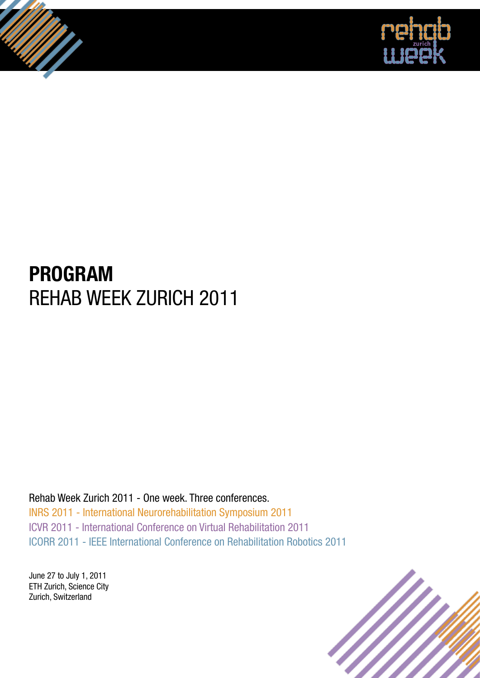



# **PROGRAM** REHAB WEEK ZURICH 2011

Rehab Week Zurich 2011 - One week. Three conferences.

INRS 2011 - International Neurorehabilitation Symposium 2011 ICVR 2011 - International Conference on Virtual Rehabilitation 2011 ICORR 2011 - IEEE International Conference on Rehabilitation Robotics 2011

June 27 to July 1, 2011 ETH Zurich, Science City Zurich, Switzerland

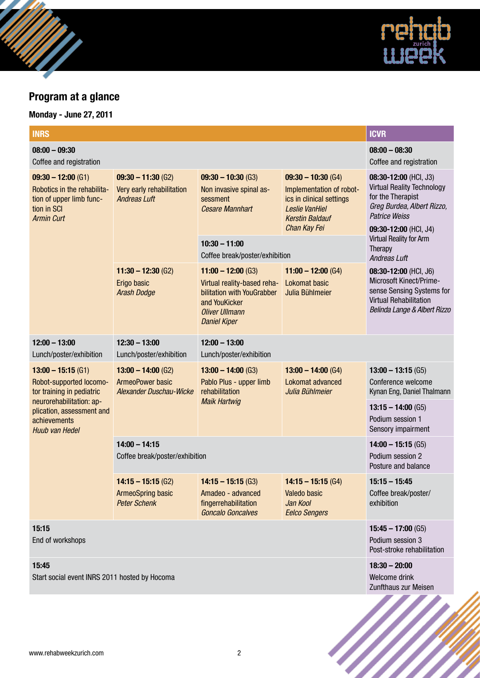

# **Program at a glance**

# **Monday - June 27, 2011**

| <b>INRS</b>                                                                                                         |                                                                         |                                                                                                                                                    |                                                                                                                                                 | <b>ICVR</b>                                                                                                                                                                                                          |
|---------------------------------------------------------------------------------------------------------------------|-------------------------------------------------------------------------|----------------------------------------------------------------------------------------------------------------------------------------------------|-------------------------------------------------------------------------------------------------------------------------------------------------|----------------------------------------------------------------------------------------------------------------------------------------------------------------------------------------------------------------------|
| $08:00 - 09:30$<br>Coffee and registration                                                                          |                                                                         |                                                                                                                                                    |                                                                                                                                                 | $08:00 - 08:30$<br>Coffee and registration                                                                                                                                                                           |
| $09:30 - 12:00$ (G1)<br>Robotics in the rehabilita-<br>tion of upper limb func-<br>tion in SCI<br><b>Armin Curt</b> | $09:30 - 11:30(62)$<br>Very early rehabilitation<br><b>Andreas Luft</b> | $09:30 - 10:30(63)$<br>Non invasive spinal as-<br>sessment<br><b>Cesare Mannhart</b><br>$10:30 - 11:00$<br>Coffee break/poster/exhibition          | $09:30 - 10:30$ (G4)<br>Implementation of robot-<br>ics in clinical settings<br><b>Leslie VanHiel</b><br><b>Kerstin Baldauf</b><br>Chan Kay Fei | 08:30-12:00 (HCI, J3)<br><b>Virtual Reality Technology</b><br>for the Therapist<br>Greg Burdea, Albert Rizzo,<br><b>Patrice Weiss</b><br>09:30-12:00 (HCI, J4)<br>Virtual Reality for Arm<br>Therapy<br>Andreas Luft |
|                                                                                                                     | 11:30 $-$ 12:30 (G2)<br>Erigo basic<br><b>Arash Dodge</b>               | $11:00 - 12:00$ (G3)<br>Virtual reality-based reha-<br>bilitation with YouGrabber<br>and YouKicker<br><b>Oliver Ullmann</b><br><b>Daniel Kiper</b> | 11:00 $-$ 12:00 (G4)<br>Lokomat basic<br>Julia Bühlmeier                                                                                        | 08:30-12:00 (HCI, J6)<br>Microsoft Kinect/Prime-<br>sense Sensing Systems for<br><b>Virtual Rehabilitation</b><br>Belinda Lange & Albert Rizzo                                                                       |
| $12:00 - 13:00$                                                                                                     | $12:30 - 13:00$                                                         | $12:00 - 13:00$                                                                                                                                    |                                                                                                                                                 |                                                                                                                                                                                                                      |
| Lunch/poster/exhibition                                                                                             | Lunch/poster/exhibition                                                 | Lunch/poster/exhibition                                                                                                                            |                                                                                                                                                 |                                                                                                                                                                                                                      |
| $13:00 - 15:15(61)$<br>Robot-supported locomo-<br>tor training in pediatric<br>neurorehabilitation: ap-             | $13:00 - 14:00$ (G2)<br>ArmeoPower basic<br>Alexander Duschau-Wicke     | $13:00 - 14:00$ (G3)<br>Pablo Plus - upper limb<br>rehabilitation<br><b>Maik Hartwig</b>                                                           | $13:00 - 14:00$ (G4)<br>Lokomat advanced<br>Julia Bühlmeier                                                                                     | $13:00 - 13:15$ (G5)<br>Conference welcome<br>Kynan Eng, Daniel Thalmann                                                                                                                                             |
| plication, assessment and<br>achievements<br>Huub van Hedel                                                         |                                                                         |                                                                                                                                                    |                                                                                                                                                 | 13:15 - 14:00 (G5)<br>Podium session 1<br>Sensory impairment                                                                                                                                                         |
|                                                                                                                     | $14:00 - 14:15$<br>Coffee break/poster/exhibition                       |                                                                                                                                                    |                                                                                                                                                 | $14:00 - 15:15(65)$<br>Podium session 2<br>Posture and balance                                                                                                                                                       |
|                                                                                                                     | $14:15 - 15:15$ (G2)<br><b>ArmeoSpring basic</b><br><b>Peter Schenk</b> | $14:15 - 15:15$ (G3)<br>Amadeo - advanced<br>fingerrehabilitation<br><b>Goncalo Goncalves</b>                                                      | $14:15 - 15:15(64)$<br><b>Valedo basic</b><br>Jan Kool<br><b>Eelco Sengers</b>                                                                  | $15:15 - 15:45$<br>Coffee break/poster/<br>exhibition                                                                                                                                                                |
| 15:15<br>End of workshops                                                                                           |                                                                         |                                                                                                                                                    |                                                                                                                                                 | 15:45 - 17:00 $(G5)$<br>Podium session 3<br>Post-stroke rehabilitation                                                                                                                                               |
| 15:45<br>Start social event INRS 2011 hosted by Hocoma                                                              |                                                                         |                                                                                                                                                    |                                                                                                                                                 | $18:30 - 20:00$<br>Welcome drink<br>Zunfthaus zur Meisen                                                                                                                                                             |

Ñ,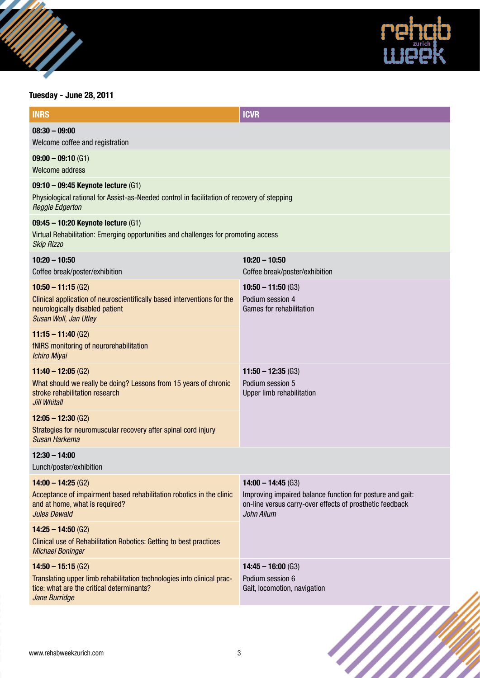# **Tuesday - June 28, 2011**



| <b>INRS</b>                                                                                                           | <b>ICVR</b>                                                            |
|-----------------------------------------------------------------------------------------------------------------------|------------------------------------------------------------------------|
| $08:30 - 09:00$                                                                                                       |                                                                        |
| Welcome coffee and registration                                                                                       |                                                                        |
| $09:00 - 09:10(61)$                                                                                                   |                                                                        |
| Welcome address                                                                                                       |                                                                        |
| 09:10 - 09:45 Keynote lecture (G1)                                                                                    |                                                                        |
| Physiological rational for Assist-as-Needed control in facilitation of recovery of stepping<br><b>Reggie Edgerton</b> |                                                                        |
| 09:45 - 10:20 Keynote lecture (G1)                                                                                    |                                                                        |
| Virtual Rehabilitation: Emerging opportunities and challenges for promoting access<br><b>Skip Rizzo</b>               |                                                                        |
| $10:20 - 10:50$                                                                                                       | $10:20 - 10:50$                                                        |
| Coffee break/poster/exhibition                                                                                        | Coffee break/poster/exhibition                                         |
| $10:50 - 11:15$ (G2)                                                                                                  | 10:50 $-$ 11:50 (G3)                                                   |
| Clinical application of neuroscientifically based interventions for the                                               | Podium session 4<br><b>Games for rehabilitation</b>                    |
| neurologically disabled patient<br>Susan Woll, Jan Utley                                                              |                                                                        |
| 11:15 $-$ 11:40 (G2)                                                                                                  |                                                                        |
| fNIRS monitoring of neurorehabilitation                                                                               |                                                                        |
| <b>Ichiro Miyai</b>                                                                                                   |                                                                        |
| 11:40 - 12:05 (G2)                                                                                                    | 11:50 $-$ 12:35 (G3)                                                   |
| What should we really be doing? Lessons from 15 years of chronic<br>stroke rehabilitation research                    | Podium session 5<br>Upper limb rehabilitation                          |
| Jill Whitall                                                                                                          |                                                                        |
| $12:05 - 12:30(62)$                                                                                                   |                                                                        |
| Strategies for neuromuscular recovery after spinal cord injury<br>Susan Harkema                                       |                                                                        |
| $12:30 - 14:00$                                                                                                       |                                                                        |
| Lunch/poster/exhibition                                                                                               |                                                                        |
| $14:00 - 14:25$ (G2)                                                                                                  | $14:00 - 14:45$ (G3)                                                   |
| Acceptance of impairment based rehabilitation robotics in the clinic                                                  | Improving impaired balance function for posture and gait:              |
| and at home, what is required?<br><b>Jules Dewald</b>                                                                 | on-line versus carry-over effects of prosthetic feedback<br>John Allum |
| $14:25 - 14:50(62)$                                                                                                   |                                                                        |
| Clinical use of Rehabilitation Robotics: Getting to best practices                                                    |                                                                        |
| <b>Michael Boninger</b>                                                                                               |                                                                        |
| $14:50 - 15:15$ (G2)                                                                                                  | $14:45 - 16:00$ (G3)                                                   |
| Translating upper limb rehabilitation technologies into clinical prac-                                                | Podium session 6                                                       |
| tice: what are the critical determinants?<br>Jane Burridge                                                            | Gait, locomotion, navigation                                           |
|                                                                                                                       |                                                                        |

H.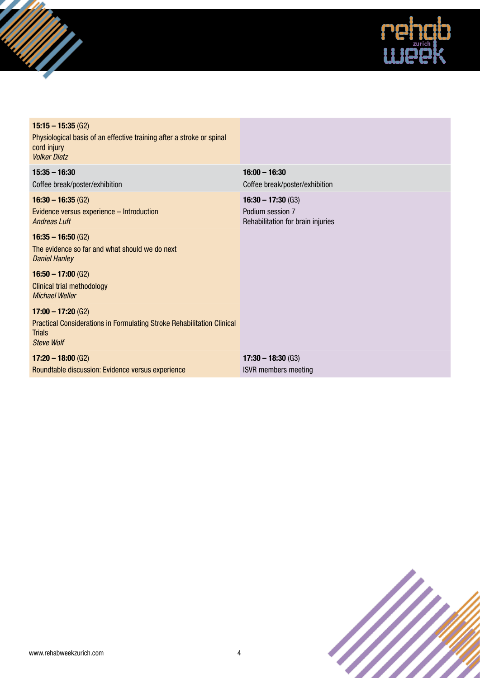



| $15:15 - 15:35$ (G2)<br>Physiological basis of an effective training after a stroke or spinal<br>cord injury<br><b>Volker Dietz</b>         |                                                                              |
|---------------------------------------------------------------------------------------------------------------------------------------------|------------------------------------------------------------------------------|
| $15:35 - 16:30$<br>Coffee break/poster/exhibition                                                                                           | $16:00 - 16:30$<br>Coffee break/poster/exhibition                            |
| $16:30 - 16:35$ (G2)<br>Evidence versus experience - Introduction<br><b>Andreas Luft</b>                                                    | $16:30 - 17:30(63)$<br>Podium session 7<br>Rehabilitation for brain injuries |
| $16:35 - 16:50$ (G2)<br>The evidence so far and what should we do next<br><b>Daniel Hanley</b>                                              |                                                                              |
| $16:50 - 17:00$ (G2)<br><b>Clinical trial methodology</b><br><b>Michael Weller</b>                                                          |                                                                              |
| $17:00 - 17:20$ (G2)<br><b>Practical Considerations in Formulating Stroke Rehabilitation Clinical</b><br><b>Trials</b><br><b>Steve Wolf</b> |                                                                              |
| $17:20 - 18:00$ (G2)<br>Roundtable discussion: Evidence versus experience                                                                   | $17:30 - 18:30(63)$<br><b>ISVR</b> members meeting                           |

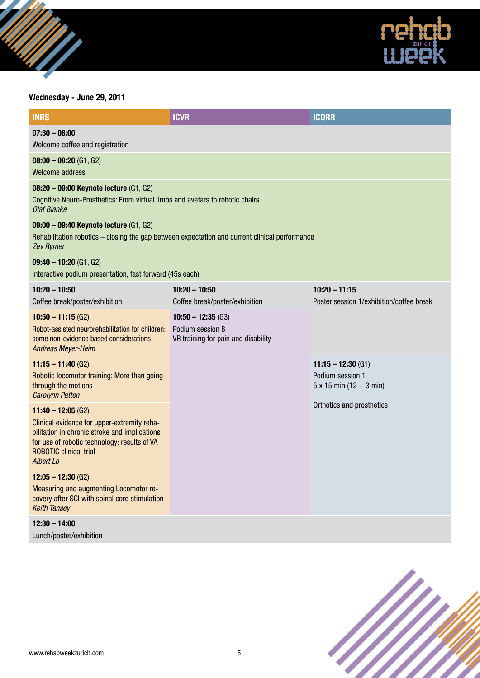



# **Wednesday - June 29, 2011**

| <b>INRS</b>                                                                                                                                                                                                        | <b>ICVR</b>                                                                                    | <b>ICORR</b>                                                       |
|--------------------------------------------------------------------------------------------------------------------------------------------------------------------------------------------------------------------|------------------------------------------------------------------------------------------------|--------------------------------------------------------------------|
| $07:30 - 08:00$<br>Welcome coffee and registration                                                                                                                                                                 |                                                                                                |                                                                    |
| $08:00 - 08:20$ (G1, G2)<br>Welcome address                                                                                                                                                                        |                                                                                                |                                                                    |
| 08:20 - 09:00 Keynote lecture (G1, G2)<br>Cognitive Neuro-Prosthetics: From virtual limbs and avatars to robotic chairs<br><b>Olaf Blanke</b>                                                                      |                                                                                                |                                                                    |
| 09:00 - 09:40 Keynote lecture (G1, G2)<br><b>Zev Rymer</b>                                                                                                                                                         | Rehabilitation robotics – closing the gap between expectation and current clinical performance |                                                                    |
| $09:40 - 10:20$ (G1, G2)<br>Interactive podium presentation, fast forward (45s each)                                                                                                                               |                                                                                                |                                                                    |
| $10:20 - 10:50$                                                                                                                                                                                                    | $10:20 - 10:50$                                                                                | $10:20 - 11:15$                                                    |
| Coffee break/poster/exhibition                                                                                                                                                                                     | Coffee break/poster/exhibition                                                                 | Poster session 1/exhibition/coffee break                           |
| $10:50 - 11:15$ (G2)<br>Robot-assisted neurorehabilitation for children:<br>some non-evidence based considerations<br>Andreas Meyer-Heim                                                                           | $10:50 - 12:35$ (G3)<br>Podium session 8<br>VR training for pain and disability                |                                                                    |
| $11:15 - 11:40$ (G2)<br>Robotic locomotor training: More than going<br>through the motions<br><b>Carolynn Patten</b>                                                                                               |                                                                                                | 11:15 - 12:30 (G1)<br>Podium session 1<br>$5x 15 min (12 + 3 min)$ |
| $11:40 - 12:05$ (G2)<br>Clinical evidence for upper-extremity reha-<br>bilitation in chronic stroke and implications<br>for use of robotic technology: results of VA<br><b>ROBOTIC clinical trial</b><br>Albert Lo |                                                                                                | Orthotics and prosthetics                                          |
| $12:05 - 12:30(62)$<br>Measuring and augmenting Locomotor re-<br>covery after SCI with spinal cord stimulation<br><b>Keith Tansey</b>                                                                              |                                                                                                |                                                                    |
| $12:30 - 14:00$<br>Lunch/poster/exhibition                                                                                                                                                                         |                                                                                                |                                                                    |

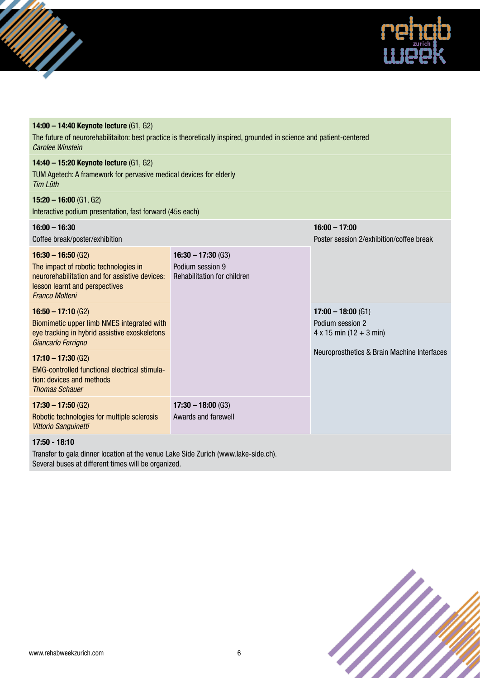

| 14:00 - 14:40 Keynote lecture (G1, G2)<br>The future of neurorehabilitaiton: best practice is theoretically inspired, grounded in science and patient-centered<br>Carolee Winstein |                                                                        |                                                                            |
|------------------------------------------------------------------------------------------------------------------------------------------------------------------------------------|------------------------------------------------------------------------|----------------------------------------------------------------------------|
| 14:40 - 15:20 Keynote lecture (G1, G2)<br>TUM Agetech: A framework for pervasive medical devices for elderly<br><b>Tim Lüth</b>                                                    |                                                                        |                                                                            |
| $15:20 - 16:00$ (G1, G2)<br>Interactive podium presentation, fast forward (45s each)                                                                                               |                                                                        |                                                                            |
| $16:00 - 16:30$<br>Coffee break/poster/exhibition                                                                                                                                  |                                                                        | $16:00 - 17:00$<br>Poster session 2/exhibition/coffee break                |
| $16:30 - 16:50$ (G2)<br>The impact of robotic technologies in<br>neurorehabilitation and for assistive devices:<br>lesson learnt and perspectives<br><b>Franco Molteni</b>         | $16:30 - 17:30(63)$<br>Podium session 9<br>Rehabilitation for children |                                                                            |
| $16:50 - 17:10$ (G2)<br>Biomimetic upper limb NMES integrated with<br>eye tracking in hybrid assistive exoskeletons<br>Giancarlo Ferrigno                                          |                                                                        | $17:00 - 18:00$ (G1)<br>Podium session 2<br>$4 \times 15$ min (12 + 3 min) |
| $17:10 - 17:30(62)$<br><b>EMG-controlled functional electrical stimula-</b><br>tion: devices and methods<br><b>Thomas Schauer</b>                                                  |                                                                        | Neuroprosthetics & Brain Machine Interfaces                                |
| $17:30 - 17:50$ (G2)<br>Robotic technologies for multiple sclerosis<br><b>Vittorio Sanguinetti</b>                                                                                 | $17:30 - 18:00$ (G3)<br>Awards and farewell                            |                                                                            |
| $17:50 - 18:10$                                                                                                                                                                    |                                                                        |                                                                            |

Transfer to gala dinner location at the venue Lake Side Zurich (www.lake-side.ch). Several buses at different times will be organized.

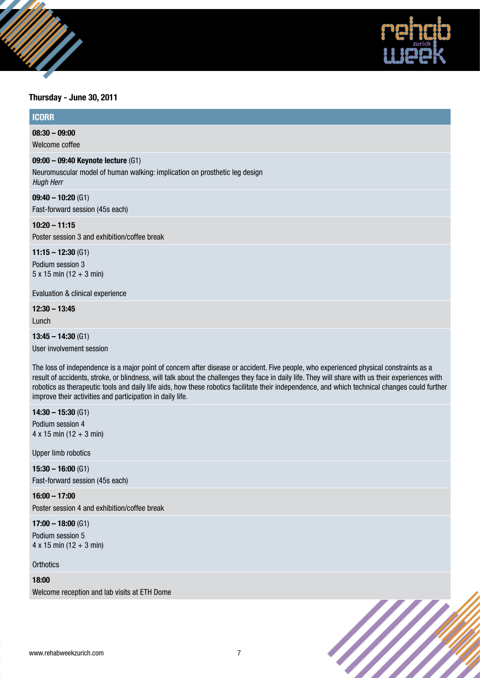

# **Thursday - June 30, 2011**

# **ICORR**

**08:30 – 09:00**

Welcome coffee

### **09:00 – 09:40 Keynote lecture** (G1)

Neuromuscular model of human walking: implication on prosthetic leg design Hugh Herr

**09:40 – 10:20** (G1) Fast-forward session (45s each)

**10:20 – 11:15** Poster session 3 and exhibition/coffee break

**11:15 – 12:30** (G1) Podium session 3  $5 x 15 min (12 + 3 min)$ 

Evaluation & clinical experience

**12:30 – 13:45** Lunch

**13:45 – 14:30** (G1)

User involvement session

The loss of independence is a major point of concern after disease or accident. Five people, who experienced physical constraints as a result of accidents, stroke, or blindness, will talk about the challenges they face in daily life. They will share with us their experiences with robotics as therapeutic tools and daily life aids, how these robotics facilitate their independence, and which technical changes could further improve their activities and participation in daily life.

**14:30 – 15:30** (G1) Podium session 4  $4 \times 15$  min (12 + 3 min)

Upper limb robotics

**15:30 – 16:00** (G1) Fast-forward session (45s each)

**16:00 – 17:00** Poster session 4 and exhibition/coffee break

**17:00 – 18:00** (G1) Podium session 5  $4 \times 15$  min (12 + 3 min)

**Orthotics** 

**18:00**

Welcome reception and lab visits at ETH Dome

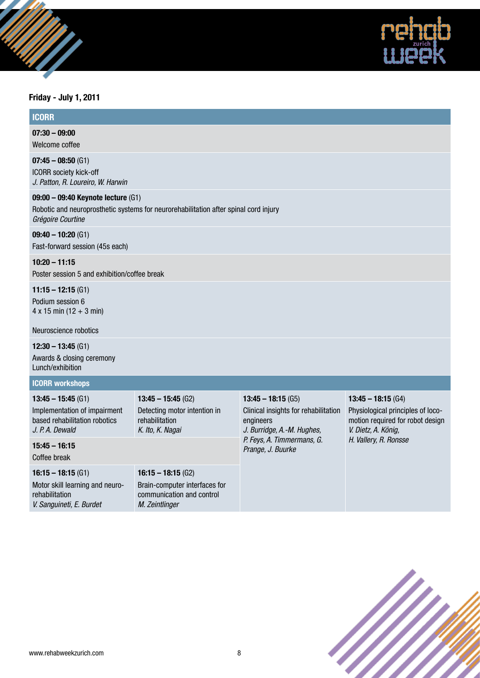



# **Friday - July 1, 2011**

# **ICORR**

**07:30 – 09:00**

Welcome coffee

**07:45 – 08:50** (G1) ICORR society kick-off J. Patton, R. Loureiro, W. Harwin

# **09:00 – 09:40 Keynote lecture** (G1)

Robotic and neuroprosthetic systems for neurorehabilitation after spinal cord injury Grégoire Courtine

**09:40 – 10:20** (G1) Fast-forward session (45s each)

**10:20 – 11:15** Poster session 5 and exhibition/coffee break

**11:15 – 12:15** (G1) Podium session 6  $4 \times 15$  min (12 + 3 min)

Neuroscience robotics

**12:30 – 13:45** (G1) Awards & closing ceremony Lunch/exhibition

**ICORR workshops**

| <b>13:45 – 15:45</b> (G1)<br>$13:45 - 15:45$ (G2)<br>Implementation of impairment<br>Detecting motor intention in<br>based rehabilitation robotics<br>rehabilitation<br>J. P. A. Dewald<br>K. Ito, K. Nagai<br>15:45 - 16:15<br>Coffee break |                                                                                                      | $13:45 - 18:15(65)$<br>Clinical insights for rehabilitation<br>engineers<br>J. Burridge, A.-M. Hughes,<br>P. Feys, A. Timmermans, G.<br>Prange, J. Buurke | $13:45 - 18:15(64)$<br>Physiological principles of loco-<br>motion required for robot design<br>V. Dietz, A. König,<br>H. Vallery, R. Ronsse |
|----------------------------------------------------------------------------------------------------------------------------------------------------------------------------------------------------------------------------------------------|------------------------------------------------------------------------------------------------------|-----------------------------------------------------------------------------------------------------------------------------------------------------------|----------------------------------------------------------------------------------------------------------------------------------------------|
| $16:15 - 18:15$ (G1)<br>Motor skill learning and neuro-<br>rehabilitation<br>V. Sanguineti, E. Burdet                                                                                                                                        | $16:15 - 18:15$ (G2)<br>Brain-computer interfaces for<br>communication and control<br>M. Zeintlinger |                                                                                                                                                           |                                                                                                                                              |

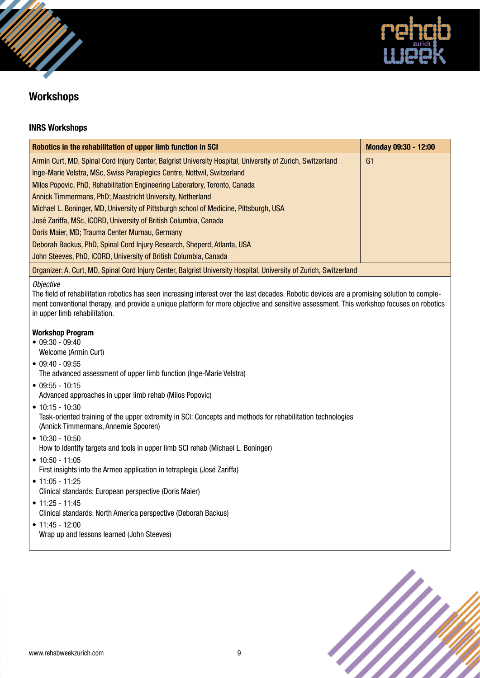

# **Workshops**

# **INRS Workshops**

| Robotics in the rehabilitation of upper limb function in SCI                                                       | Monday 09:30 - 12:00 |
|--------------------------------------------------------------------------------------------------------------------|----------------------|
| Armin Curt, MD, Spinal Cord Injury Center, Balgrist University Hospital, University of Zurich, Switzerland         | G1                   |
| Inge-Marie Velstra, MSc, Swiss Paraplegics Centre, Nottwil, Switzerland                                            |                      |
| Milos Popovic, PhD, Rehabilitation Engineering Laboratory, Toronto, Canada                                         |                      |
| Annick Timmermans, PhD; Maastricht University, Netherland                                                          |                      |
| Michael L. Boninger, MD, University of Pittsburgh school of Medicine, Pittsburgh, USA                              |                      |
| José Zariffa, MSc, ICORD, University of British Columbia, Canada                                                   |                      |
| Doris Maier, MD; Trauma Center Murnau, Germany                                                                     |                      |
| Deborah Backus, PhD, Spinal Cord Injury Research, Sheperd, Atlanta, USA                                            |                      |
| John Steeves, PhD, ICORD, University of British Columbia, Canada                                                   |                      |
| Organizer: A. Curt, MD, Spinal Cord Injury Center, Balgrist University Hospital, University of Zurich, Switzerland |                      |

# **Objective**

The field of rehabilitation robotics has seen increasing interest over the last decades. Robotic devices are a promising solution to complement conventional therapy, and provide a unique platform for more objective and sensitive assessment. This workshop focuses on robotics in upper limb rehabilitation.

# **Workshop Program**

- 09:30 09:40 Welcome (Armin Curt)
- 09:40 09:55 The advanced assessment of upper limb function (Inge-Marie Velstra)
- 09:55 10:15
- Advanced approaches in upper limb rehab (Milos Popovic)
- 10:15 10:30 Task-oriented training of the upper extremity in SCI: Concepts and methods for rehabilitation technologies (Annick Timmermans, Annemie Spooren)
- 10:30 10:50 How to identify targets and tools in upper limb SCI rehab (Michael L. Boninger)
- 10:50 11:05 First insights into the Armeo application in tetraplegia (José Zariffa)
- 11:05 11:25 Clinical standards: European perspective (Doris Maier)
- 11:25 11:45 Clinical standards: North America perspective (Deborah Backus)
- 11:45 12:00 Wrap up and lessons learned (John Steeves)

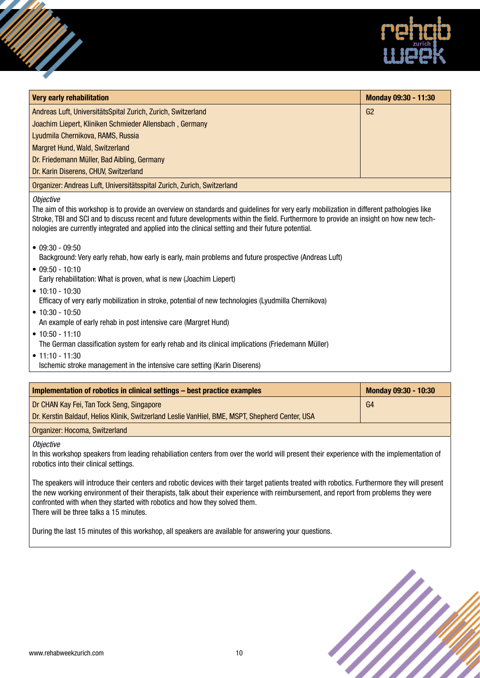



| <b>Very early rehabilitation</b>                                                                                                                                                                                                                                                                                                                                                                              | Monday 09:30 - 11:30 |
|---------------------------------------------------------------------------------------------------------------------------------------------------------------------------------------------------------------------------------------------------------------------------------------------------------------------------------------------------------------------------------------------------------------|----------------------|
| Andreas Luft, UniversitätsSpital Zurich, Zurich, Switzerland                                                                                                                                                                                                                                                                                                                                                  | G <sub>2</sub>       |
| Joachim Liepert, Kliniken Schmieder Allensbach, Germany                                                                                                                                                                                                                                                                                                                                                       |                      |
| Lyudmila Chernikova, RAMS, Russia                                                                                                                                                                                                                                                                                                                                                                             |                      |
| Margret Hund, Wald, Switzerland                                                                                                                                                                                                                                                                                                                                                                               |                      |
| Dr. Friedemann Müller, Bad Aibling, Germany                                                                                                                                                                                                                                                                                                                                                                   |                      |
| Dr. Karin Diserens, CHUV, Switzerland                                                                                                                                                                                                                                                                                                                                                                         |                      |
| Organizer: Andreas Luft, Universitätsspital Zurich, Zurich, Switzerland                                                                                                                                                                                                                                                                                                                                       |                      |
| <b>Objective</b><br>The aim of this workshop is to provide an overview on standards and guidelines for very early mobilization in different pathologies like<br>Stroke, TBI and SCI and to discuss recent and future developments within the field. Furthermore to provide an insight on how new tech-<br>nologies are currently integrated and applied into the clinical setting and their future potential. |                      |
| $\bullet$ 09:30 - 09:50<br>Background: Very early rehab, how early is early, main problems and future prospective (Andreas Luft)                                                                                                                                                                                                                                                                              |                      |
| $\bullet$ 09:50 - 10:10<br>Early rehabilitation: What is proven, what is new (Joachim Liepert)                                                                                                                                                                                                                                                                                                                |                      |
| $\bullet$ 10:10 - 10:30<br>Efficacy of very early mobilization in stroke, potential of new technologies (Lyudmilla Chernikova)                                                                                                                                                                                                                                                                                |                      |
| $\bullet$ 10:30 - 10:50<br>An example of early rehab in post intensive care (Margret Hund)                                                                                                                                                                                                                                                                                                                    |                      |
| • $10:50 - 11:10$                                                                                                                                                                                                                                                                                                                                                                                             |                      |

The German classification system for early rehab and its clinical implications (Friedemann Müller)

• 11:10 - 11:30

Ischemic stroke management in the intensive care setting (Karin Diserens)

| Implementation of robotics in clinical settings - best practice examples                        | Monday 09:30 - 10:30 |
|-------------------------------------------------------------------------------------------------|----------------------|
| Dr CHAN Kay Fei, Tan Tock Seng, Singapore                                                       | G <sub>4</sub>       |
| Dr. Kerstin Baldauf, Helios Klinik, Switzerland Leslie VanHiel, BME, MSPT, Shepherd Center, USA |                      |
| Organizer: Hocoma, Switzerland                                                                  |                      |

**Objective** 

In this workshop speakers from leading rehabiliation centers from over the world will present their experience with the implementation of robotics into their clinical settings.

The speakers will introduce their centers and robotic devices with their target patients treated with robotics. Furthermore they will present the new working environment of their therapists, talk about their experience with reimbursement, and report from problems they were confronted with when they started with robotics and how they solved them. There will be three talks a 15 minutes.

During the last 15 minutes of this workshop, all speakers are available for answering your questions.

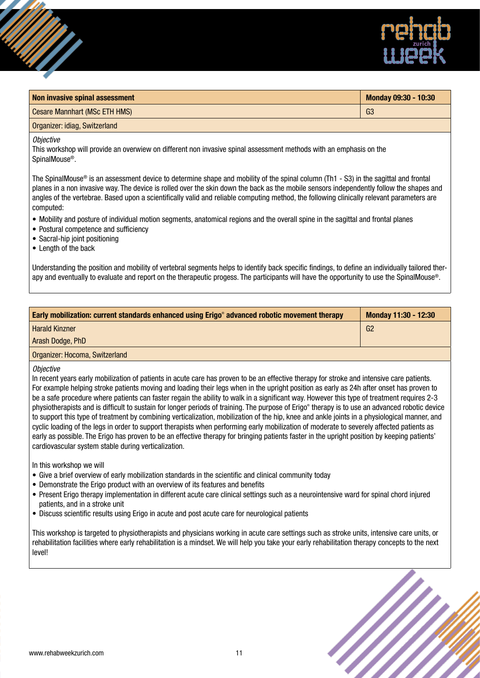

| Non invasive spinal assessment | Monday 09:30 - 10:30 |
|--------------------------------|----------------------|
| Cesare Mannhart (MSc ETH HMS)  | G3                   |
| Organizer: idiag, Switzerland  |                      |
|                                |                      |

This workshop will provide an overwiew on different non invasive spinal assessment methods with an emphasis on the SpinalMouse®.

The SpinalMouse® is an assessment device to determine shape and mobility of the spinal column (Th1 - S3) in the sagittal and frontal planes in a non invasive way. The device is rolled over the skin down the back as the mobile sensors independently follow the shapes and angles of the vertebrae. Based upon a scientifically valid and reliable computing method, the following clinically relevant parameters are computed:

- Mobility and posture of individual motion segments, anatomical regions and the overall spine in the sagittal and frontal planes
- Postural competence and sufficiency
- Sacral-hip joint positioning
- Length of the back

Understanding the position and mobility of vertebral segments helps to identify back specific findings, to define an individually tailored therapy and eventually to evaluate and report on the therapeutic progess. The participants will have the opportunity to use the SpinalMouse®.

| Early mobilization: current standards enhanced using Erigo® advanced robotic movement therapy | Monday 11:30 - 12:30 |
|-----------------------------------------------------------------------------------------------|----------------------|
| <b>Harald Kinzner</b>                                                                         | G <sub>2</sub>       |
| Arash Dodge, PhD                                                                              |                      |
| Organizer: Hocoma, Switzerland                                                                |                      |

## **Objective**

In recent years early mobilization of patients in acute care has proven to be an effective therapy for stroke and intensive care patients. For example helping stroke patients moving and loading their legs when in the upright position as early as 24h after onset has proven to be a safe procedure where patients can faster regain the ability to walk in a significant way. However this type of treatment requires 2-3 physiotherapists and is difficult to sustain for longer periods of training. The purpose of Erigo® therapy is to use an advanced robotic device to support this type of treatment by combining verticalization, mobilization of the hip, knee and ankle joints in a physiological manner, and cyclic loading of the legs in order to support therapists when performing early mobilization of moderate to severely affected patients as early as possible. The Erigo has proven to be an effective therapy for bringing patients faster in the upright position by keeping patients' cardiovascular system stable during verticalization.

In this workshop we will

- Give a brief overview of early mobilization standards in the scientific and clinical community today
- Demonstrate the Erigo product with an overview of its features and benefits
- Present Erigo therapy implementation in different acute care clinical settings such as a neurointensive ward for spinal chord injured patients, and in a stroke unit
- Discuss scientific results using Erigo in acute and post acute care for neurological patients

This workshop is targeted to physiotherapists and physicians working in acute care settings such as stroke units, intensive care units, or rehabilitation facilities where early rehabilitation is a mindset. We will help you take your early rehabilitation therapy concepts to the next level!

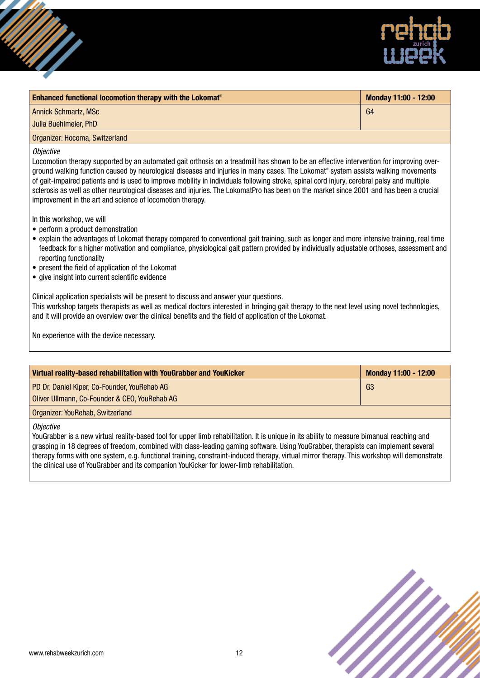

| <b>Enhanced functional locomotion therapy with the Lokomat<sup>®</sup></b> | Monday 11:00 - 12:00 |
|----------------------------------------------------------------------------|----------------------|
| <b>Annick Schmartz, MSc</b>                                                | G4                   |
| Julia Buehlmeier, PhD                                                      |                      |
| Organizer: Hocoma, Switzerland                                             |                      |

Locomotion therapy supported by an automated gait orthosis on a treadmill has shown to be an effective intervention for improving overground walking function caused by neurological diseases and injuries in many cases. The Lokomat® system assists walking movements of gait-impaired patients and is used to improve mobility in individuals following stroke, spinal cord injury, cerebral palsy and multiple sclerosis as well as other neurological diseases and injuries. The LokomatPro has been on the market since 2001 and has been a crucial improvement in the art and science of locomotion therapy.

In this workshop, we will

- perform a product demonstration
- explain the advantages of Lokomat therapy compared to conventional gait training, such as longer and more intensive training, real time feedback for a higher motivation and compliance, physiological gait pattern provided by individually adjustable orthoses, assessment and reporting functionality
- present the field of application of the Lokomat
- give insight into current scientific evidence

Clinical application specialists will be present to discuss and answer your questions.

This workshop targets therapists as well as medical doctors interested in bringing gait therapy to the next level using novel technologies, and it will provide an overview over the clinical benefits and the field of application of the Lokomat.

No experience with the device necessary.

| Virtual reality-based rehabilitation with YouGrabber and YouKicker | Monday 11:00 - 12:00 |
|--------------------------------------------------------------------|----------------------|
| PD Dr. Daniel Kiper, Co-Founder, YouRehab AG                       | G <sub>3</sub>       |
| Oliver Ullmann, Co-Founder & CEO, YouRehab AG                      |                      |
| Organizer: YouRehab, Switzerland                                   |                      |
|                                                                    |                      |

#### **Objective**

YouGrabber is a new virtual reality-based tool for upper limb rehabilitation. It is unique in its ability to measure bimanual reaching and grasping in 18 degrees of freedom, combined with class-leading gaming software. Using YouGrabber, therapists can implement several therapy forms with one system, e.g. functional training, constraint-induced therapy, virtual mirror therapy. This workshop will demonstrate the clinical use of YouGrabber and its companion YouKicker for lower-limb rehabilitation.

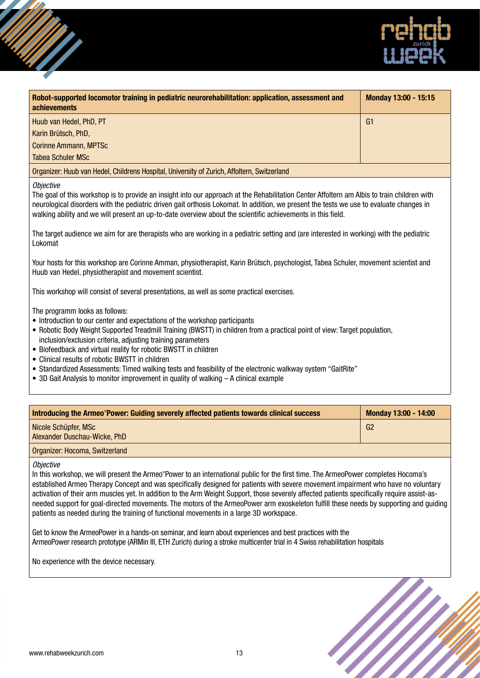

| Robot-supported locomotor training in pediatric neurorehabilitation: application, assessment and<br>achievements | Monday 13:00 - 15:15 |
|------------------------------------------------------------------------------------------------------------------|----------------------|
| Huub van Hedel, PhD, PT                                                                                          | G <sub>1</sub>       |
| Karin Brütsch, PhD,                                                                                              |                      |
| <b>Corinne Ammann, MPTSc</b>                                                                                     |                      |
| <b>Tabea Schuler MSc</b>                                                                                         |                      |
| Organizer: Huub van Hedel, Childrens Hospital, University of Zurich, Affoltern, Switzerland                      |                      |

The goal of this workshop is to provide an insight into our approach at the Rehabilitation Center Affoltern am Albis to train children with neurological disorders with the pediatric driven gait orthosis Lokomat. In addition, we present the tests we use to evaluate changes in walking ability and we will present an up-to-date overview about the scientific achievements in this field.

The target audience we aim for are therapists who are working in a pediatric setting and (are interested in working) with the pediatric Lokomat

Your hosts for this workshop are Corinne Amman, physiotherapist, Karin Brütsch, psychologist, Tabea Schuler, movement scientist and Huub van Hedel, physiotherapist and movement scientist.

This workshop will consist of several presentations, as well as some practical exercises.

The programm looks as follows:

- Introduction to our center and expectations of the workshop participants
- Robotic Body Weight Supported Treadmill Training (BWSTT) in children from a practical point of view: Target population, inclusion/exclusion criteria, adjusting training parameters
- Biofeedback and virtual reality for robotic BWSTT in children
- Clinical results of robotic BWSTT in children
- Standardized Assessments: Timed walking tests and feasibility of the electronic walkway system "GaitRite"
- 3D Gait Analysis to monitor improvement in quality of walking A clinical example

| Introducing the Armeo®Power: Guiding severely affected patients towards clinical success | Monday 13:00 - 14:00 |
|------------------------------------------------------------------------------------------|----------------------|
| Nicole Schüpfer, MSc<br>Alexander Duschau-Wicke, PhD                                     | G2                   |
| Organizer: Hocoma, Switzerland                                                           |                      |

#### **Objective**

In this workshop, we will present the Armeo®Power to an international public for the first time. The ArmeoPower completes Hocoma's established Armeo Therapy Concept and was specifically designed for patients with severe movement impairment who have no voluntary activation of their arm muscles yet. In addition to the Arm Weight Support, those severely affected patients specifically require assist-asneeded support for goal-directed movements. The motors of the ArmeoPower arm exoskeleton fulfill these needs by supporting and guiding patients as needed during the training of functional movements in a large 3D workspace.

Get to know the ArmeoPower in a hands-on seminar, and learn about experiences and best practices with the ArmeoPower research prototype (ARMin III, ETH Zurich) during a stroke multicenter trial in 4 Swiss rehabilitation hospitals

No experience with the device necessary.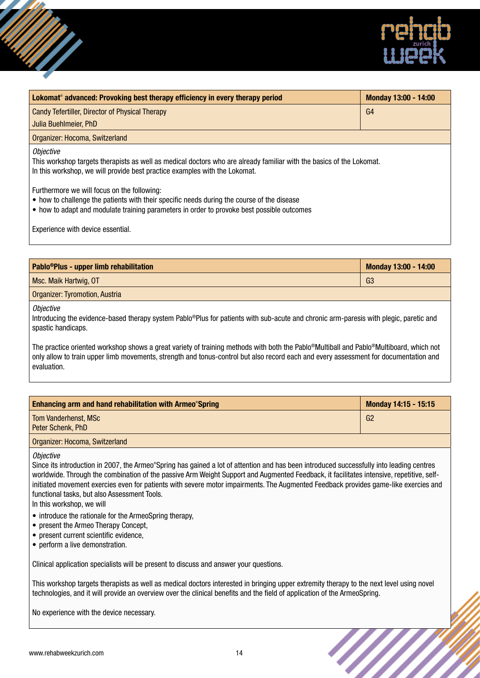

| Lokomat <sup>®</sup> advanced: Provoking best therapy efficiency in every therapy period                                                                                                                                                | Monday 13:00 - 14:00 |
|-----------------------------------------------------------------------------------------------------------------------------------------------------------------------------------------------------------------------------------------|----------------------|
| Candy Tefertiller, Director of Physical Therapy                                                                                                                                                                                         | G <sub>4</sub>       |
| Julia Buehlmeier. PhD                                                                                                                                                                                                                   |                      |
| Organizer: Hocoma, Switzerland                                                                                                                                                                                                          |                      |
| <b>Objective</b><br>This workshop targets therapists as well as medical doctors who are already familiar with the basics of the Lokomat.<br>In this workshop, we will provide best practice examples with the Lokomat.                  |                      |
| Furthermore we will focus on the following:<br>• how to challenge the patients with their specific needs during the course of the disease<br>• how to adapt and modulate training parameters in order to provoke best possible outcomes |                      |
| Experience with device essential.                                                                                                                                                                                                       |                      |

| <b>Pablo<sup>®</sup>Plus - upper limb rehabilitation</b> | Monday 13:00 - 14:00 |
|----------------------------------------------------------|----------------------|
| Msc. Maik Hartwig, OT                                    | G <sub>3</sub>       |
| Organizer: Tyromotion, Austria                           |                      |

Introducing the evidence-based therapy system Pablo®Plus for patients with sub-acute and chronic arm-paresis with plegic, paretic and spastic handicaps.

The practice oriented workshop shows a great variety of training methods with both the Pablo®Multiball and Pablo®Multiboard, which not only allow to train upper limb movements, strength and tonus-control but also record each and every assessment for documentation and evaluation.

| <b>Enhancing arm and hand rehabilitation with Armeo®Spring</b> | Monday 14:15 - 15:15 |
|----------------------------------------------------------------|----------------------|
| Tom Vanderhenst, MSc<br>Peter Schenk, PhD                      | G <sub>2</sub>       |
| Organizer: Hocoma, Switzerland                                 |                      |

#### **Objective**

Since its introduction in 2007, the Armeo®Spring has gained a lot of attention and has been introduced successfully into leading centres worldwide. Through the combination of the passive Arm Weight Support and Augmented Feedback, it facilitates intensive, repetitive, selfinitiated movement exercies even for patients with severe motor impairments. The Augmented Feedback provides game-like exercies and functional tasks, but also Assessment Tools.

In this workshop, we will

- introduce the rationale for the ArmeoSpring therapy,
- present the Armeo Therapy Concept,
- present current scientific evidence,
- perform a live demonstration.

Clinical application specialists will be present to discuss and answer your questions.

This workshop targets therapists as well as medical doctors interested in bringing upper extremity therapy to the next level using novel technologies, and it will provide an overview over the clinical benefits and the field of application of the ArmeoSpring.

No experience with the device necessary.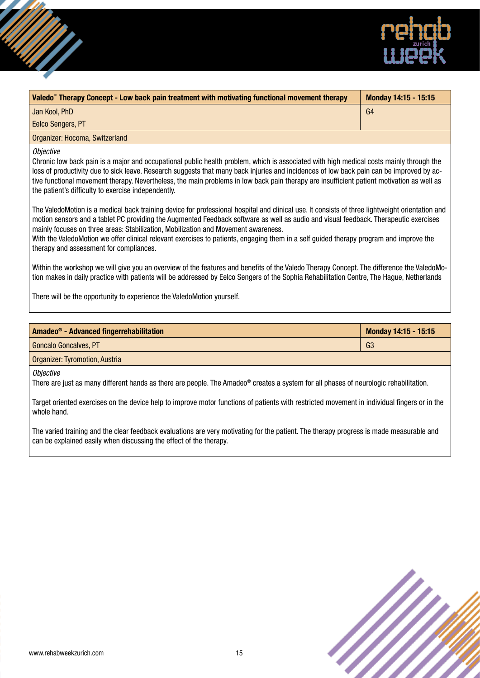

| Jan Kool, PhD                  |    |
|--------------------------------|----|
|                                | G4 |
| Eelco Sengers, PT              |    |
| Organizer: Hocoma, Switzerland |    |

Chronic low back pain is a major and occupational public health problem, which is associated with high medical costs mainly through the loss of productivity due to sick leave. Research suggests that many back injuries and incidences of low back pain can be improved by active functional movement therapy. Nevertheless, the main problems in low back pain therapy are insufficient patient motivation as well as the patient's difficulty to exercise independently.

The ValedoMotion is a medical back training device for professional hospital and clinical use. It consists of three lightweight orientation and motion sensors and a tablet PC providing the Augmented Feedback software as well as audio and visual feedback. Therapeutic exercises mainly focuses on three areas: Stabilization, Mobilization and Movement awareness.

With the ValedoMotion we offer clinical relevant exercises to patients, engaging them in a self guided therapy program and improve the therapy and assessment for compliances.

Within the workshop we will give you an overview of the features and benefits of the Valedo Therapy Concept. The difference the ValedoMotion makes in daily practice with patients will be addressed by Eelco Sengers of the Sophia Rehabilitation Centre, The Hague, Netherlands

There will be the opportunity to experience the ValedoMotion yourself.

| Amadeo <sup>®</sup> - Advanced fingerrehabilitation | Monday 14:15 - 15:15 |
|-----------------------------------------------------|----------------------|
| <b>Goncalo Goncalves, PT</b>                        | G <sub>3</sub>       |
| Organizer: Tyromotion, Austria                      |                      |

#### **Objective**

There are just as many different hands as there are people. The Amadeo® creates a system for all phases of neurologic rehabilitation.

Target oriented exercises on the device help to improve motor functions of patients with restricted movement in individual fingers or in the whole hand.

The varied training and the clear feedback evaluations are very motivating for the patient. The therapy progress is made measurable and can be explained easily when discussing the effect of the therapy.

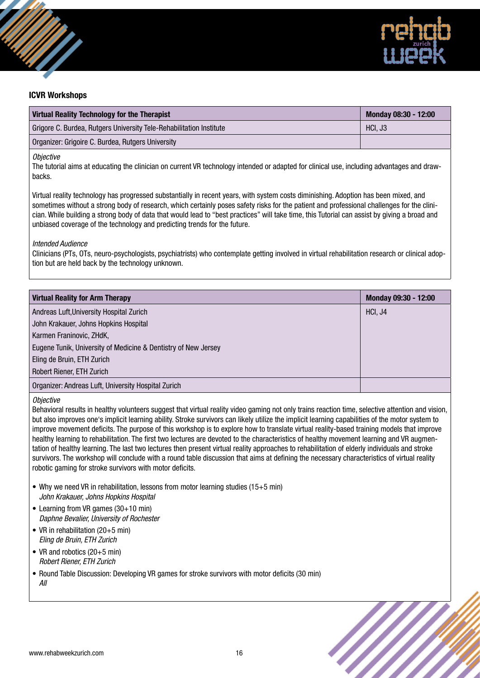



# **ICVR Workshops**

| Virtual Reality Technology for the Therapist                        | Monday 08:30 - 12:00 |
|---------------------------------------------------------------------|----------------------|
| Grigore C. Burdea, Rutgers University Tele-Rehabilitation Institute | HCI, J3              |
| Organizer: Grigoire C. Burdea, Rutgers University                   |                      |

## **Objective**

The tutorial aims at educating the clinician on current VR technology intended or adapted for clinical use, including advantages and drawbacks.

Virtual reality technology has progressed substantially in recent years, with system costs diminishing. Adoption has been mixed, and sometimes without a strong body of research, which certainly poses safety risks for the patient and professional challenges for the clinician. While building a strong body of data that would lead to "best practices" will take time, this Tutorial can assist by giving a broad and unbiased coverage of the technology and predicting trends for the future.

Intended Audience

Clinicians (PTs, OTs, neuro-psychologists, psychiatrists) who contemplate getting involved in virtual rehabilitation research or clinical adoption but are held back by the technology unknown.

| <b>Virtual Reality for Arm Therapy</b>                         | Monday 09:30 - 12:00 |
|----------------------------------------------------------------|----------------------|
| Andreas Luft, University Hospital Zurich                       | HCI, J4              |
| John Krakauer, Johns Hopkins Hospital                          |                      |
| Karmen Franinovic, ZHdK,                                       |                      |
| Eugene Tunik, University of Medicine & Dentistry of New Jersey |                      |
| Eling de Bruin, ETH Zurich                                     |                      |
| Robert Riener, ETH Zurich                                      |                      |
| Organizer: Andreas Luft, University Hospital Zurich            |                      |

#### **Objective**

Behavioral results in healthy volunteers suggest that virtual reality video gaming not only trains reaction time, selective attention and vision, but also improves one's implicit learning ability. Stroke survivors can likely utilize the implicit learning capabilities of the motor system to improve movement deficits. The purpose of this workshop is to explore how to translate virtual reality-based training models that improve healthy learning to rehabilitation. The first two lectures are devoted to the characteristics of healthy movement learning and VR augmentation of healthy learning. The last two lectures then present virtual reality approaches to rehabilitation of elderly individuals and stroke survivors. The workshop will conclude with a round table discussion that aims at defining the necessary characteristics of virtual reality robotic gaming for stroke survivors with motor deficits.

- Why we need VR in rehabilitation, lessons from motor learning studies (15+5 min) John Krakauer, Johns Hopkins Hospital
- Learning from VR games (30+10 min) Daphne Bevalier, University of Rochester
- VR in rehabilitation (20+5 min) Eling de Bruin, ETH Zurich
- VR and robotics (20+5 min) Robert Riener, ETH Zurich
- Round Table Discussion: Developing VR games for stroke survivors with motor deficits (30 min) All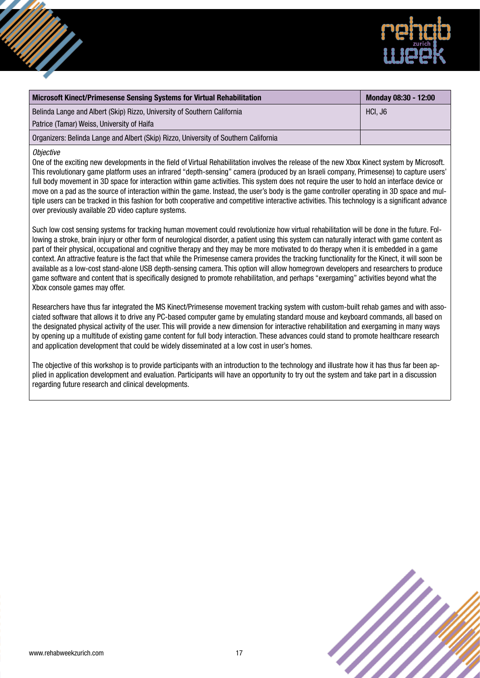

| <b>Microsoft Kinect/Primesense Sensing Systems for Virtual Rehabilitation</b>        | Monday 08:30 - 12:00 |
|--------------------------------------------------------------------------------------|----------------------|
| Belinda Lange and Albert (Skip) Rizzo, University of Southern California             | HCI, J6              |
| Patrice (Tamar) Weiss, University of Haifa                                           |                      |
| Organizers: Belinda Lange and Albert (Skip) Rizzo, University of Southern California |                      |

One of the exciting new developments in the field of Virtual Rehabilitation involves the release of the new Xbox Kinect system by Microsoft. This revolutionary game platform uses an infrared "depth-sensing" camera (produced by an Israeli company, Primesense) to capture users' full body movement in 3D space for interaction within game activities. This system does not require the user to hold an interface device or move on a pad as the source of interaction within the game. Instead, the user's body is the game controller operating in 3D space and multiple users can be tracked in this fashion for both cooperative and competitive interactive activities. This technology is a significant advance over previously available 2D video capture systems.

Such low cost sensing systems for tracking human movement could revolutionize how virtual rehabilitation will be done in the future. Following a stroke, brain injury or other form of neurological disorder, a patient using this system can naturally interact with game content as part of their physical, occupational and cognitive therapy and they may be more motivated to do therapy when it is embedded in a game context. An attractive feature is the fact that while the Primesense camera provides the tracking functionality for the Kinect, it will soon be available as a low-cost stand-alone USB depth-sensing camera. This option will allow homegrown developers and researchers to produce game software and content that is specifically designed to promote rehabilitation, and perhaps "exergaming" activities beyond what the Xbox console games may offer.

Researchers have thus far integrated the MS Kinect/Primesense movement tracking system with custom-built rehab games and with associated software that allows it to drive any PC-based computer game by emulating standard mouse and keyboard commands, all based on the designated physical activity of the user. This will provide a new dimension for interactive rehabilitation and exergaming in many ways by opening up a multitude of existing game content for full body interaction. These advances could stand to promote healthcare research and application development that could be widely disseminated at a low cost in user's homes.

The objective of this workshop is to provide participants with an introduction to the technology and illustrate how it has thus far been applied in application development and evaluation. Participants will have an opportunity to try out the system and take part in a discussion regarding future research and clinical developments.

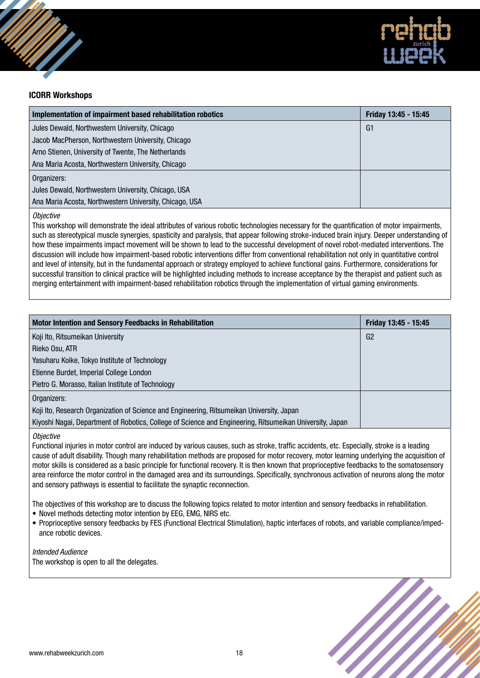



# **ICORR Workshops**

| Implementation of impairment based rehabilitation robotics | Friday 13:45 - 15:45 |
|------------------------------------------------------------|----------------------|
| Jules Dewald, Northwestern University, Chicago             | G <sub>1</sub>       |
| Jacob MacPherson, Northwestern University, Chicago         |                      |
| Arno Stienen, University of Twente, The Netherlands        |                      |
| Ana Maria Acosta, Northwestern University, Chicago         |                      |
| Organizers:                                                |                      |
| Jules Dewald, Northwestern University, Chicago, USA        |                      |
| Ana Maria Acosta, Northwestern University, Chicago, USA    |                      |

#### **Objective**

This workshop will demonstrate the ideal attributes of various robotic technologies necessary for the quantification of motor impairments, such as stereotypical muscle synergies, spasticity and paralysis, that appear following stroke-induced brain injury. Deeper understanding of how these impairments impact movement will be shown to lead to the successful development of novel robot-mediated interventions. The discussion will include how impairment-based robotic interventions differ from conventional rehabilitation not only in quantitative control and level of intensity, but in the fundamental approach or strategy employed to achieve functional gains. Furthermore, considerations for successful transition to clinical practice will be highlighted including methods to increase acceptance by the therapist and patient such as merging entertainment with impairment-based rehabilitation robotics through the implementation of virtual gaming environments.

| Motor Intention and Sensory Feedbacks in Rehabilitation                                                  | Friday 13:45 - 15:45 |
|----------------------------------------------------------------------------------------------------------|----------------------|
| Koji Ito, Ritsumeikan University                                                                         | G <sub>2</sub>       |
| Rieko Osu, ATR                                                                                           |                      |
| Yasuharu Koike, Tokyo Institute of Technology                                                            |                      |
| Etienne Burdet, Imperial College London                                                                  |                      |
| Pietro G. Morasso, Italian Institute of Technology                                                       |                      |
| Organizers:                                                                                              |                      |
| Koji Ito, Research Organization of Science and Engineering, Ritsumeikan University, Japan                |                      |
| Kiyoshi Nagai, Department of Robotics, College of Science and Engineering, Ritsumeikan University, Japan |                      |

#### **Objective**

Functional injuries in motor control are induced by various causes, such as stroke, traffic accidents, etc. Especially, stroke is a leading cause of adult disability. Though many rehabilitation methods are proposed for motor recovery, motor learning underlying the acquisition of motor skills is considered as a basic principle for functional recovery. It is then known that proprioceptive feedbacks to the somatosensory area reinforce the motor control in the damaged area and its surroundings. Specifically, synchronous activation of neurons along the motor and sensory pathways is essential to facilitate the synaptic reconnection.

The objectives of this workshop are to discuss the following topics related to motor intention and sensory feedbacks in rehabilitation.

- Novel methods detecting motor intention by EEG, EMG, NIRS etc.
- Proprioceptive sensory feedbacks by FES (Functional Electrical Stimulation), haptic interfaces of robots, and variable compliance/impedance robotic devices.

# Intended Audience

The workshop is open to all the delegates.

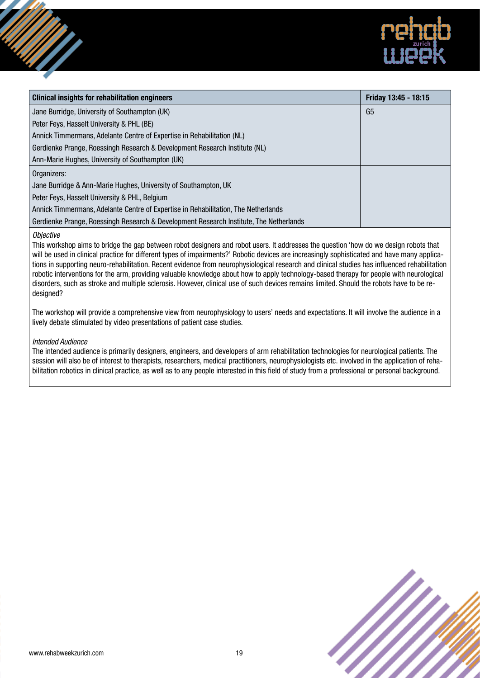

| <b>Clinical insights for rehabilitation engineers</b>                                  | Friday 13:45 - 18:15 |
|----------------------------------------------------------------------------------------|----------------------|
| Jane Burridge, University of Southampton (UK)                                          | G5                   |
| Peter Feys, Hasselt University & PHL (BE)                                              |                      |
| Annick Timmermans, Adelante Centre of Expertise in Rehabilitation (NL)                 |                      |
| Gerdienke Prange, Roessingh Research & Development Research Institute (NL)             |                      |
| Ann-Marie Hughes, University of Southampton (UK)                                       |                      |
| Organizers:                                                                            |                      |
| Jane Burridge & Ann-Marie Hughes, University of Southampton, UK                        |                      |
| Peter Feys, Hasselt University & PHL, Belgium                                          |                      |
| Annick Timmermans, Adelante Centre of Expertise in Rehabilitation, The Netherlands     |                      |
| Gerdienke Prange, Roessingh Research & Development Research Institute, The Netherlands |                      |

This workshop aims to bridge the gap between robot designers and robot users. It addresses the question 'how do we design robots that will be used in clinical practice for different types of impairments?' Robotic devices are increasingly sophisticated and have many applications in supporting neuro-rehabilitation. Recent evidence from neurophysiological research and clinical studies has influenced rehabilitation robotic interventions for the arm, providing valuable knowledge about how to apply technology-based therapy for people with neurological disorders, such as stroke and multiple sclerosis. However, clinical use of such devices remains limited. Should the robots have to be redesigned?

The workshop will provide a comprehensive view from neurophysiology to users' needs and expectations. It will involve the audience in a lively debate stimulated by video presentations of patient case studies.

### Intended Audience

The intended audience is primarily designers, engineers, and developers of arm rehabilitation technologies for neurological patients. The session will also be of interest to therapists, researchers, medical practitioners, neurophysiologists etc. involved in the application of rehabilitation robotics in clinical practice, as well as to any people interested in this field of study from a professional or personal background.

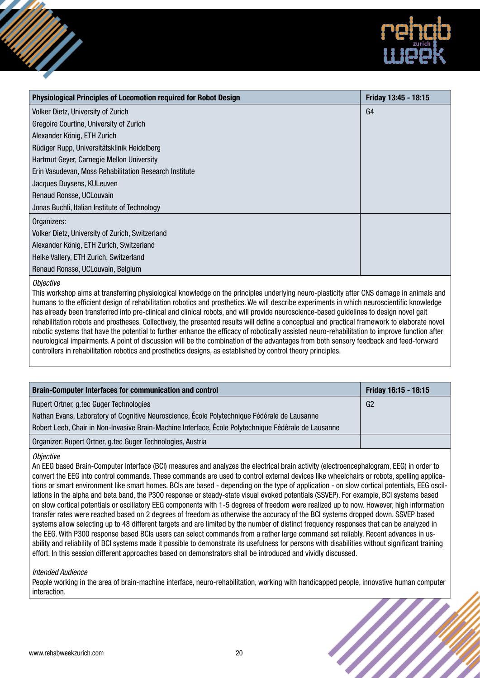

| <b>Physiological Principles of Locomotion required for Robot Design</b> | Friday 13:45 - 18:15 |
|-------------------------------------------------------------------------|----------------------|
| Volker Dietz, University of Zurich                                      | G4                   |
| Gregoire Courtine, University of Zurich                                 |                      |
| Alexander König, ETH Zurich                                             |                      |
| Rüdiger Rupp, Universitätsklinik Heidelberg                             |                      |
| Hartmut Geyer, Carnegie Mellon University                               |                      |
| Erin Vasudevan, Moss Rehabilitation Research Institute                  |                      |
| Jacques Duysens, KULeuven                                               |                      |
| Renaud Ronsse, UCLouvain                                                |                      |
| Jonas Buchli, Italian Institute of Technology                           |                      |
| Organizers:                                                             |                      |
| Volker Dietz, University of Zurich, Switzerland                         |                      |
| Alexander König, ETH Zurich, Switzerland                                |                      |
| Heike Vallery, ETH Zurich, Switzerland                                  |                      |
| Renaud Ronsse, UCLouvain, Belgium                                       |                      |

This workshop aims at transferring physiological knowledge on the principles underlying neuro-plasticity after CNS damage in animals and humans to the efficient design of rehabilitation robotics and prosthetics. We will describe experiments in which neuroscientific knowledge has already been transferred into pre-clinical and clinical robots, and will provide neuroscience-based guidelines to design novel gait rehabilitation robots and prostheses. Collectively, the presented results will define a conceptual and practical framework to elaborate novel robotic systems that have the potential to further enhance the efficacy of robotically assisted neuro-rehabilitation to improve function after neurological impairments. A point of discussion will be the combination of the advantages from both sensory feedback and feed-forward controllers in rehabilitation robotics and prosthetics designs, as established by control theory principles.

| <b>Brain-Computer Interfaces for communication and control</b>                                       | Friday 16:15 - 18:15 |
|------------------------------------------------------------------------------------------------------|----------------------|
| Rupert Ortner, g.tec Guger Technologies                                                              | G2                   |
| Nathan Evans, Laboratory of Cognitive Neuroscience, École Polytechnique Fédérale de Lausanne         |                      |
| Robert Leeb, Chair in Non-Invasive Brain-Machine Interface, École Polytechnique Fédérale de Lausanne |                      |
| Organizer: Rupert Ortner, g.tec Guger Technologies, Austria                                          |                      |

#### **Objective**

An EEG based Brain-Computer Interface (BCI) measures and analyzes the electrical brain activity (electroencephalogram, EEG) in order to convert the EEG into control commands. These commands are used to control external devices like wheelchairs or robots, spelling applications or smart environment like smart homes. BCIs are based - depending on the type of application - on slow cortical potentials, EEG oscillations in the alpha and beta band, the P300 response or steady-state visual evoked potentials (SSVEP). For example, BCI systems based on slow cortical potentials or oscillatory EEG components with 1-5 degrees of freedom were realized up to now. However, high information transfer rates were reached based on 2 degrees of freedom as otherwise the accuracy of the BCI systems dropped down. SSVEP based systems allow selecting up to 48 different targets and are limited by the number of distinct frequency responses that can be analyzed in the EEG. With P300 response based BCIs users can select commands from a rather large command set reliably. Recent advances in usability and reliability of BCI systems made it possible to demonstrate its usefulness for persons with disabilities without significant training effort. In this session different approaches based on demonstrators shall be introduced and vividly discussed.

# Intended Audience

People working in the area of brain-machine interface, neuro-rehabilitation, working with handicapped people, innovative human computer interaction.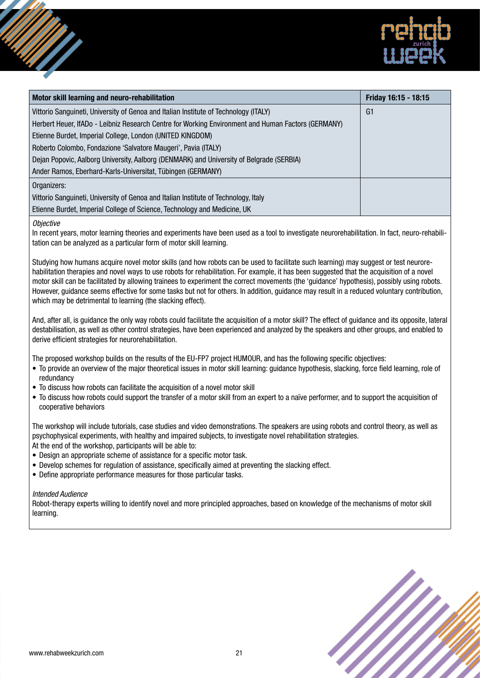

| Motor skill learning and neuro-rehabilitation                                                      | Friday 16:15 - 18:15 |
|----------------------------------------------------------------------------------------------------|----------------------|
| Vittorio Sanguineti, University of Genoa and Italian Institute of Technology (ITALY)               | G1                   |
| Herbert Heuer, IfADo - Leibniz Research Centre for Working Environment and Human Factors (GERMANY) |                      |
| Etienne Burdet, Imperial College, London (UNITED KINGDOM)                                          |                      |
| Roberto Colombo, Fondazione 'Salvatore Maugeri', Pavia (ITALY)                                     |                      |
| Dejan Popovic, Aalborg University, Aalborg (DENMARK) and University of Belgrade (SERBIA)           |                      |
| Ander Ramos, Eberhard-Karls-Universitat, Tübingen (GERMANY)                                        |                      |
| Organizers:                                                                                        |                      |
| Vittorio Sanguineti, University of Genoa and Italian Institute of Technology, Italy                |                      |
| Etienne Burdet, Imperial College of Science, Technology and Medicine, UK                           |                      |

In recent years, motor learning theories and experiments have been used as a tool to investigate neurorehabilitation. In fact, neuro-rehabilitation can be analyzed as a particular form of motor skill learning.

Studying how humans acquire novel motor skills (and how robots can be used to facilitate such learning) may suggest or test neurorehabilitation therapies and novel ways to use robots for rehabilitation. For example, it has been suggested that the acquisition of a novel motor skill can be facilitated by allowing trainees to experiment the correct movements (the 'guidance' hypothesis), possibly using robots. However, guidance seems effective for some tasks but not for others. In addition, guidance may result in a reduced voluntary contribution, which may be detrimental to learning (the slacking effect).

And, after all, is guidance the only way robots could facilitate the acquisition of a motor skill? The effect of guidance and its opposite, lateral destabilisation, as well as other control strategies, have been experienced and analyzed by the speakers and other groups, and enabled to derive efficient strategies for neurorehabilitation.

The proposed workshop builds on the results of the EU-FP7 project HUMOUR, and has the following specific objectives:

- To provide an overview of the major theoretical issues in motor skill learning: guidance hypothesis, slacking, force field learning, role of redundancy
- To discuss how robots can facilitate the acquisition of a novel motor skill
- To discuss how robots could support the transfer of a motor skill from an expert to a naïve performer, and to support the acquisition of cooperative behaviors

The workshop will include tutorials, case studies and video demonstrations. The speakers are using robots and control theory, as well as psychophysical experiments, with healthy and impaired subjects, to investigate novel rehabilitation strategies. At the end of the workshop, participants will be able to:

- Design an appropriate scheme of assistance for a specific motor task.
- Develop schemes for regulation of assistance, specifically aimed at preventing the slacking effect.
- Define appropriate performance measures for those particular tasks.

#### Intended Audience

Robot-therapy experts willing to identify novel and more principled approaches, based on knowledge of the mechanisms of motor skill learning.

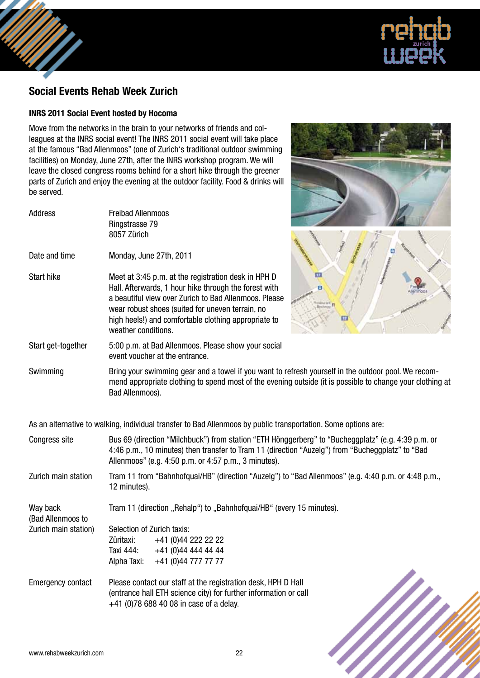

# **Social Events Rehab Week Zurich**

# **INRS 2011 Social Event hosted by Hocoma**

Move from the networks in the brain to your networks of friends and colleagues at the INRS social event! The INRS 2011 social event will take place at the famous "Bad Allenmoos" (one of Zurich's traditional outdoor swimming facilities) on Monday, June 27th, after the INRS workshop program. We will leave the closed congress rooms behind for a short hike through the greener parts of Zurich and enjoy the evening at the outdoor facility. Food & drinks will be served.

| Address            | <b>Freibad Allenmoos</b><br>Ringstrasse 79<br>8057 Zürich                                                                                                                                                                                                                                                |  |
|--------------------|----------------------------------------------------------------------------------------------------------------------------------------------------------------------------------------------------------------------------------------------------------------------------------------------------------|--|
| Date and time      | Monday, June 27th, 2011                                                                                                                                                                                                                                                                                  |  |
| Start hike         | Meet at 3:45 p.m. at the registration desk in HPH D<br>Hall. Afterwards, 1 hour hike through the forest with<br>a beautiful view over Zurich to Bad Allenmoos. Please<br>wear robust shoes (suited for uneven terrain, no<br>high heels!) and comfortable clothing appropriate to<br>weather conditions. |  |
| Start get-together | 5:00 p.m. at Bad Allenmoos. Please show your social<br>event voucher at the entrance.                                                                                                                                                                                                                    |  |
| Swimming           | Bring your swimming gear and a towel if you want to refres<br>mond appropriate clathing to coond most of the evening out                                                                                                                                                                                 |  |



h yourself in the outdoor pool. We recommend appropriate clothing to spend most of the evening outside (it is possible to change your clothing at Bad Allenmoos).

As an alternative to walking, individual transfer to Bad Allenmoos by public transportation. Some options are:

| Congress site                 | Bus 69 (direction "Milchbuck") from station "ETH Hönggerberg" to "Bucheggplatz" (e.g. 4:39 p.m. or<br>4:46 p.m., 10 minutes) then transfer to Tram 11 (direction "Auzelg") from "Bucheggplatz" to "Bad<br>Allenmoos" (e.g. 4:50 p.m. or 4:57 p.m., 3 minutes). |  |
|-------------------------------|----------------------------------------------------------------------------------------------------------------------------------------------------------------------------------------------------------------------------------------------------------------|--|
| Zurich main station           | Tram 11 from "Bahnhofquai/HB" (direction "Auzelg") to "Bad Allenmoos" (e.g. 4:40 p.m. or 4:48 p.m.,<br>12 minutes).                                                                                                                                            |  |
| Way back<br>(Bad Allenmoos to | Tram 11 (direction "Rehalp") to "Bahnhofquai/HB" (every 15 minutes).                                                                                                                                                                                           |  |
| Zurich main station)          | Selection of Zurich taxis:                                                                                                                                                                                                                                     |  |
|                               | Züritaxi:<br>$+41$ (0)44 222 22 22                                                                                                                                                                                                                             |  |
|                               | Taxi 444:<br>$+41$ (0)44 444 44 44                                                                                                                                                                                                                             |  |
|                               | +41 (0)44 777 77 77<br>Alpha Taxi:                                                                                                                                                                                                                             |  |
| <b>Emergency contact</b>      | Please contact our staff at the registration desk, HPH D Hall<br>(entrance hall ETH science city) for further information or call<br>$+41$ (0)78 688 40 08 in case of a delay.                                                                                 |  |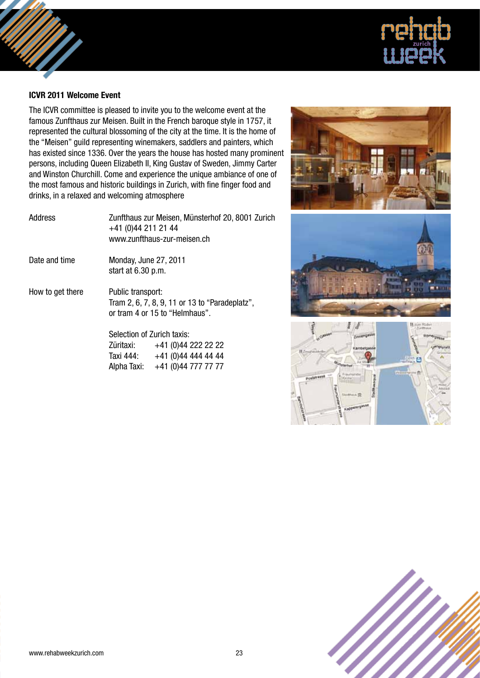

# **ICVR 2011 Welcome Event**

The ICVR committee is pleased to invite you to the welcome event at the famous Zunfthaus zur Meisen. Built in the French baroque style in 1757, it represented the cultural blossoming of the city at the time. It is the home of the "Meisen" guild representing winemakers, saddlers and painters, which has existed since 1336. Over the years the house has hosted many prominent persons, including Queen Elizabeth II, King Gustav of Sweden, Jimmy Carter and Winston Churchill. Come and experience the unique ambiance of one of the most famous and historic buildings in Zurich, with fine finger food and drinks, in a relaxed and welcoming atmosphere

| Address          | Zunfthaus zur Meisen, Münsterhof 20, 8001 Zurich<br>$+41$ (0)44 211 21 44<br>www.zunfthaus-zur-meisen.ch |
|------------------|----------------------------------------------------------------------------------------------------------|
| Date and time    | Monday, June 27, 2011<br>start at 6.30 p.m.                                                              |
| How to get there | Public transport:<br>Tram 2, 6, 7, 8, 9, 11 or 13 to "Paradeplatz",<br>or tram 4 or 15 to "Helmhaus".    |

Selection of Zurich taxis: Züritaxi: +41 (0)44 222 22 22 Taxi 444: +41 (0)44 444 44 44 Alpha Taxi: +41 (0)44 777 77 77







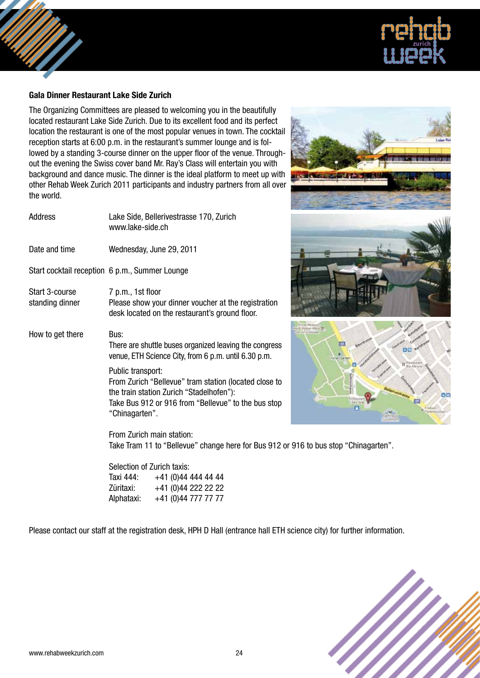

# **Gala Dinner Restaurant Lake Side Zurich**

The Organizing Committees are pleased to welcoming you in the beautifully located restaurant Lake Side Zurich. Due to its excellent food and its perfect location the restaurant is one of the most popular venues in town. The cocktail reception starts at 6:00 p.m. in the restaurant's summer lounge and is followed by a standing 3-course dinner on the upper floor of the venue. Throughout the evening the Swiss cover band Mr. Ray's Class will entertain you with background and dance music. The dinner is the ideal platform to meet up with other Rehab Week Zurich 2011 participants and industry partners from all over the world.

| Address                           | Lake Side, Bellerivestrasse 170, Zurich<br>www.lake-side.ch                                                                                                                                     |
|-----------------------------------|-------------------------------------------------------------------------------------------------------------------------------------------------------------------------------------------------|
| Date and time                     | Wednesday, June 29, 2011                                                                                                                                                                        |
|                                   | Start cocktail reception 6 p.m., Summer Lounge                                                                                                                                                  |
| Start 3-course<br>standing dinner | 7 p.m., 1st floor<br>Please show your dinner voucher at the registration<br>desk located on the restaurant's ground floor.                                                                      |
| How to get there                  | Bus:<br>There are shuttle buses organized leaving the congress<br>venue, ETH Science City, from 6 p.m. until 6.30 p.m.                                                                          |
|                                   | Public transport:<br>From Zurich "Bellevue" tram station (located close to<br>the train station Zurich "Stadelhofen"):<br>Take Bus 912 or 916 from "Bellevue" to the bus stop<br>"Chinagarten". |



From Zurich main station: Take Tram 11 to "Bellevue" change here for Bus 912 or 916 to bus stop "Chinagarten".

Selection of Zurich taxis: Taxi 444: +41 (0)44 444 44 44 Züritaxi: +41 (0)44 222 22 22 Alphataxi: +41 (0)44 777 77 77

Please contact our staff at the registration desk, HPH D Hall (entrance hall ETH science city) for further information.